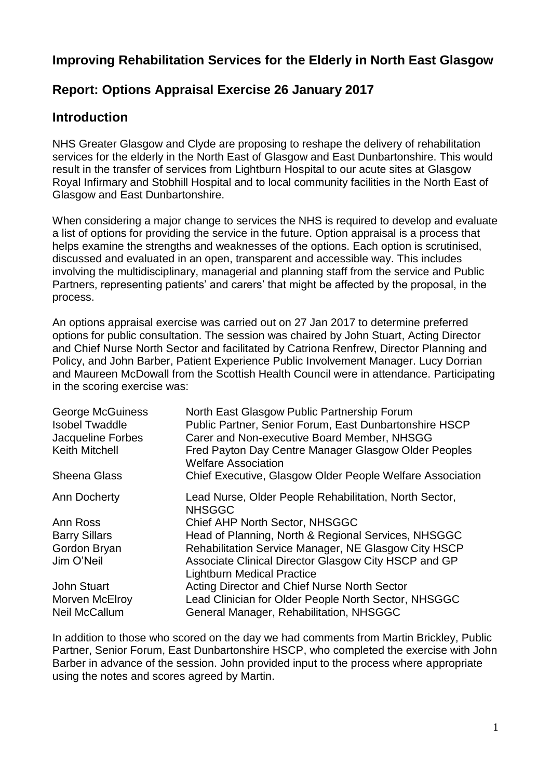# **Improving Rehabilitation Services for the Elderly in North East Glasgow**

## **Report: Options Appraisal Exercise 26 January 2017**

## **Introduction**

NHS Greater Glasgow and Clyde are proposing to reshape the delivery of rehabilitation services for the elderly in the North East of Glasgow and East Dunbartonshire. This would result in the transfer of services from Lightburn Hospital to our acute sites at Glasgow Royal Infirmary and Stobhill Hospital and to local community facilities in the North East of Glasgow and East Dunbartonshire.

When considering a major change to services the NHS is required to develop and evaluate a list of options for providing the service in the future. Option appraisal is a process that helps examine the strengths and weaknesses of the options. Each option is scrutinised, discussed and evaluated in an open, transparent and accessible way. This includes involving the multidisciplinary, managerial and planning staff from the service and Public Partners, representing patients' and carers' that might be affected by the proposal, in the process.

An options appraisal exercise was carried out on 27 Jan 2017 to determine preferred options for public consultation. The session was chaired by John Stuart, Acting Director and Chief Nurse North Sector and facilitated by Catriona Renfrew, Director Planning and Policy, and John Barber, Patient Experience Public Involvement Manager. Lucy Dorrian and Maureen McDowall from the Scottish Health Council were in attendance. Participating in the scoring exercise was:

| <b>George McGuiness</b><br><b>Isobel Twaddle</b> | North East Glasgow Public Partnership Forum<br>Public Partner, Senior Forum, East Dunbartonshire HSCP |
|--------------------------------------------------|-------------------------------------------------------------------------------------------------------|
| Jacqueline Forbes                                | Carer and Non-executive Board Member, NHSGG                                                           |
| <b>Keith Mitchell</b>                            | Fred Payton Day Centre Manager Glasgow Older Peoples<br><b>Welfare Association</b>                    |
| <b>Sheena Glass</b>                              | Chief Executive, Glasgow Older People Welfare Association                                             |
| Ann Docherty                                     | Lead Nurse, Older People Rehabilitation, North Sector,<br><b>NHSGGC</b>                               |
| Ann Ross                                         | Chief AHP North Sector, NHSGGC                                                                        |
| <b>Barry Sillars</b>                             | Head of Planning, North & Regional Services, NHSGGC                                                   |
| Gordon Bryan                                     | Rehabilitation Service Manager, NE Glasgow City HSCP                                                  |
| Jim O'Neil                                       | Associate Clinical Director Glasgow City HSCP and GP                                                  |
|                                                  | <b>Lightburn Medical Practice</b>                                                                     |
| <b>John Stuart</b>                               | Acting Director and Chief Nurse North Sector                                                          |
| Morven McElroy                                   | Lead Clinician for Older People North Sector, NHSGGC                                                  |
| Neil McCallum                                    | General Manager, Rehabilitation, NHSGGC                                                               |

In addition to those who scored on the day we had comments from Martin Brickley, Public Partner, Senior Forum, East Dunbartonshire HSCP, who completed the exercise with John Barber in advance of the session. John provided input to the process where appropriate using the notes and scores agreed by Martin.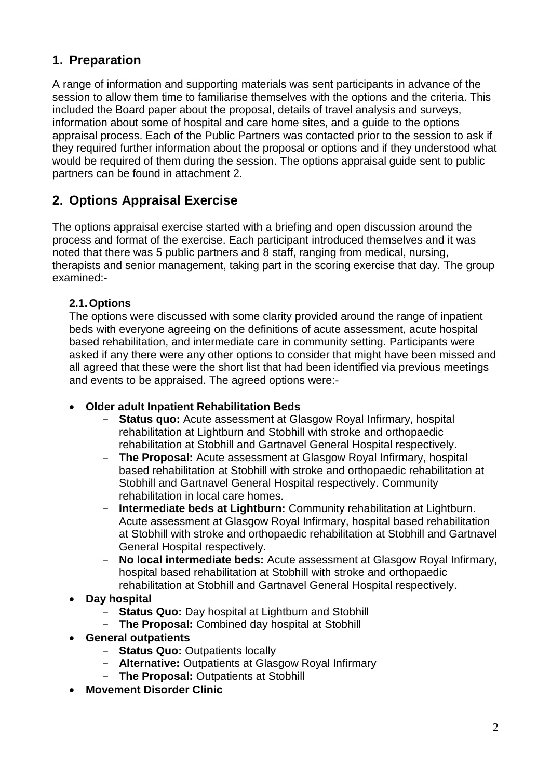# **1. Preparation**

A range of information and supporting materials was sent participants in advance of the session to allow them time to familiarise themselves with the options and the criteria. This included the Board paper about the proposal, details of travel analysis and surveys, information about some of hospital and care home sites, and a guide to the options appraisal process. Each of the Public Partners was contacted prior to the session to ask if they required further information about the proposal or options and if they understood what would be required of them during the session. The options appraisal guide sent to public partners can be found in attachment 2.

# **2. Options Appraisal Exercise**

The options appraisal exercise started with a briefing and open discussion around the process and format of the exercise. Each participant introduced themselves and it was noted that there was 5 public partners and 8 staff, ranging from medical, nursing, therapists and senior management, taking part in the scoring exercise that day. The group examined:-

## **2.1.Options**

The options were discussed with some clarity provided around the range of inpatient beds with everyone agreeing on the definitions of acute assessment, acute hospital based rehabilitation, and intermediate care in community setting. Participants were asked if any there were any other options to consider that might have been missed and all agreed that these were the short list that had been identified via previous meetings and events to be appraised. The agreed options were:-

- **Older adult Inpatient Rehabilitation Beds**
	- **Status quo:** Acute assessment at Glasgow Royal Infirmary, hospital rehabilitation at Lightburn and Stobhill with stroke and orthopaedic rehabilitation at Stobhill and Gartnavel General Hospital respectively.
	- **The Proposal:** Acute assessment at Glasgow Royal Infirmary, hospital based rehabilitation at Stobhill with stroke and orthopaedic rehabilitation at Stobhill and Gartnavel General Hospital respectively. Community rehabilitation in local care homes.
	- **Intermediate beds at Lightburn:** Community rehabilitation at Lightburn. Acute assessment at Glasgow Royal Infirmary, hospital based rehabilitation at Stobhill with stroke and orthopaedic rehabilitation at Stobhill and Gartnavel General Hospital respectively.
	- **No local intermediate beds:** Acute assessment at Glasgow Royal Infirmary, hospital based rehabilitation at Stobhill with stroke and orthopaedic rehabilitation at Stobhill and Gartnavel General Hospital respectively.
- **Day hospital**
	- **Status Quo:** Day hospital at Lightburn and Stobhill
	- **The Proposal:** Combined day hospital at Stobhill
- **General outpatients**
	- **Status Quo:** Outpatients locally
	- **Alternative:** Outpatients at Glasgow Royal Infirmary
	- **The Proposal:** Outpatients at Stobhill
- **Movement Disorder Clinic**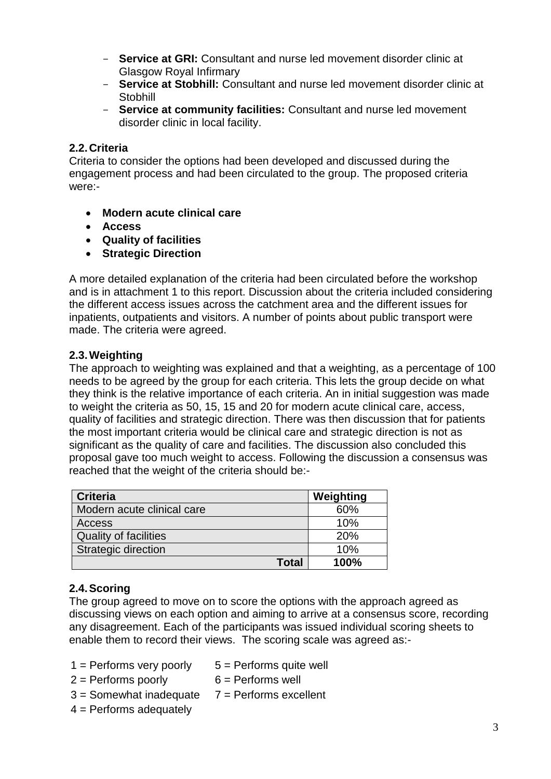- **Service at GRI:** Consultant and nurse led movement disorder clinic at Glasgow Royal Infirmary
- **Service at Stobhill:** Consultant and nurse led movement disorder clinic at **Stobhill**
- **Service at community facilities:** Consultant and nurse led movement disorder clinic in local facility.

## **2.2.Criteria**

Criteria to consider the options had been developed and discussed during the engagement process and had been circulated to the group. The proposed criteria were:-

- **Modern acute clinical care**
- **Access**
- **Quality of facilities**
- **Strategic Direction**

A more detailed explanation of the criteria had been circulated before the workshop and is in attachment 1 to this report. Discussion about the criteria included considering the different access issues across the catchment area and the different issues for inpatients, outpatients and visitors. A number of points about public transport were made. The criteria were agreed.

#### **2.3.Weighting**

The approach to weighting was explained and that a weighting, as a percentage of 100 needs to be agreed by the group for each criteria. This lets the group decide on what they think is the relative importance of each criteria. An in initial suggestion was made to weight the criteria as 50, 15, 15 and 20 for modern acute clinical care, access, quality of facilities and strategic direction. There was then discussion that for patients the most important criteria would be clinical care and strategic direction is not as significant as the quality of care and facilities. The discussion also concluded this proposal gave too much weight to access. Following the discussion a consensus was reached that the weight of the criteria should be:-

| <b>Criteria</b>              | Weighting |
|------------------------------|-----------|
| Modern acute clinical care   | 60%       |
| Access                       | 10%       |
| <b>Quality of facilities</b> | 20%       |
| Strategic direction          | 10%       |
| Total                        | 100%      |

### **2.4.Scoring**

The group agreed to move on to score the options with the approach agreed as discussing views on each option and aiming to arrive at a consensus score, recording any disagreement. Each of the participants was issued individual scoring sheets to enable them to record their views. The scoring scale was agreed as:-

- $1 =$  Performs very poorly  $5 =$  Performs quite well
	-
- $2 =$  Performs poorly  $6 =$  Performs well
- $3 =$  Somewhat inadequate  $7 =$  Performs excellent
- $4$  = Performs adequately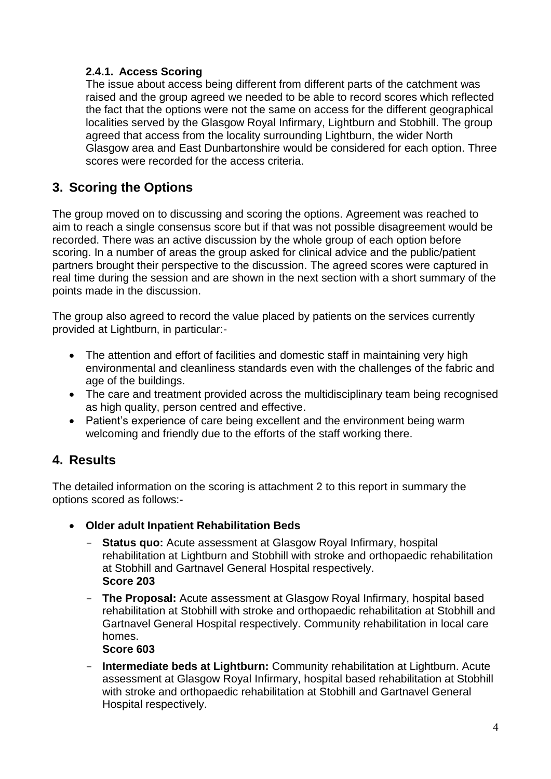## **2.4.1. Access Scoring**

The issue about access being different from different parts of the catchment was raised and the group agreed we needed to be able to record scores which reflected the fact that the options were not the same on access for the different geographical localities served by the Glasgow Royal Infirmary, Lightburn and Stobhill. The group agreed that access from the locality surrounding Lightburn, the wider North Glasgow area and East Dunbartonshire would be considered for each option. Three scores were recorded for the access criteria.

# **3. Scoring the Options**

The group moved on to discussing and scoring the options. Agreement was reached to aim to reach a single consensus score but if that was not possible disagreement would be recorded. There was an active discussion by the whole group of each option before scoring. In a number of areas the group asked for clinical advice and the public/patient partners brought their perspective to the discussion. The agreed scores were captured in real time during the session and are shown in the next section with a short summary of the points made in the discussion.

The group also agreed to record the value placed by patients on the services currently provided at Lightburn, in particular:-

- The attention and effort of facilities and domestic staff in maintaining very high environmental and cleanliness standards even with the challenges of the fabric and age of the buildings.
- The care and treatment provided across the multidisciplinary team being recognised as high quality, person centred and effective.
- Patient's experience of care being excellent and the environment being warm welcoming and friendly due to the efforts of the staff working there.

# **4. Results**

The detailed information on the scoring is attachment 2 to this report in summary the options scored as follows:-

- **Older adult Inpatient Rehabilitation Beds**
	- **Status quo:** Acute assessment at Glasgow Royal Infirmary, hospital rehabilitation at Lightburn and Stobhill with stroke and orthopaedic rehabilitation at Stobhill and Gartnavel General Hospital respectively. **Score 203**
	- **The Proposal:** Acute assessment at Glasgow Royal Infirmary, hospital based rehabilitation at Stobhill with stroke and orthopaedic rehabilitation at Stobhill and Gartnavel General Hospital respectively. Community rehabilitation in local care homes. **Score 603**
	- **Intermediate beds at Lightburn:** Community rehabilitation at Lightburn. Acute assessment at Glasgow Royal Infirmary, hospital based rehabilitation at Stobhill with stroke and orthopaedic rehabilitation at Stobhill and Gartnavel General Hospital respectively.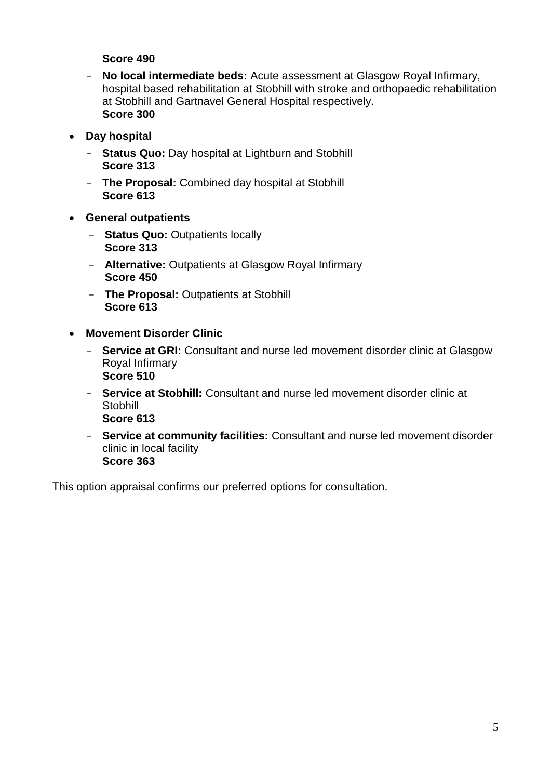#### **Score 490**

- **No local intermediate beds:** Acute assessment at Glasgow Royal Infirmary, hospital based rehabilitation at Stobhill with stroke and orthopaedic rehabilitation at Stobhill and Gartnavel General Hospital respectively. **Score 300**
- **Day hospital**
	- **Status Quo:** Day hospital at Lightburn and Stobhill **Score 313**
	- **The Proposal:** Combined day hospital at Stobhill **Score 613**
- **General outpatients**
	- **Status Quo:** Outpatients locally **Score 313**
	- **Alternative:** Outpatients at Glasgow Royal Infirmary **Score 450**
	- **The Proposal:** Outpatients at Stobhill **Score 613**
- **Movement Disorder Clinic**
	- **Service at GRI:** Consultant and nurse led movement disorder clinic at Glasgow Royal Infirmary **Score 510**
	- **Service at Stobhill:** Consultant and nurse led movement disorder clinic at Stobhill **Score 613**
	- **Service at community facilities:** Consultant and nurse led movement disorder clinic in local facility **Score 363**

This option appraisal confirms our preferred options for consultation.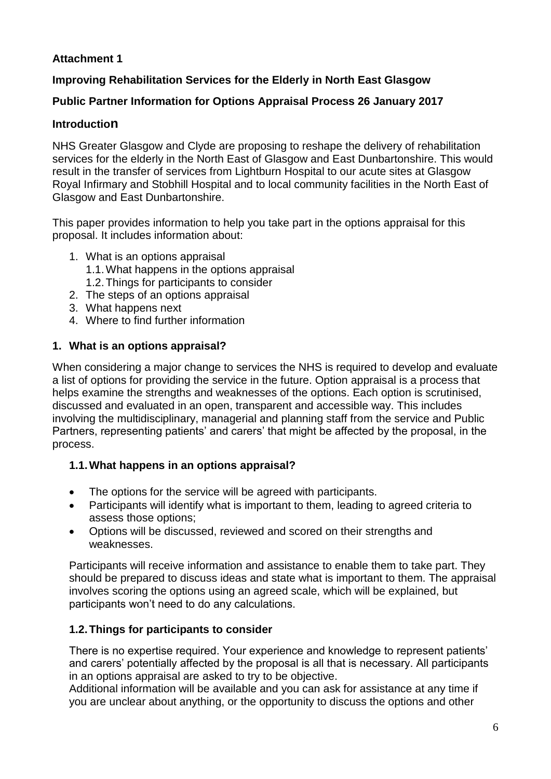## **Attachment 1**

## **Improving Rehabilitation Services for the Elderly in North East Glasgow**

## **Public Partner Information for Options Appraisal Process 26 January 2017**

## **Introduction**

NHS Greater Glasgow and Clyde are proposing to reshape the delivery of rehabilitation services for the elderly in the North East of Glasgow and East Dunbartonshire. This would result in the transfer of services from Lightburn Hospital to our acute sites at Glasgow Royal Infirmary and Stobhill Hospital and to local community facilities in the North East of Glasgow and East Dunbartonshire.

This paper provides information to help you take part in the options appraisal for this proposal. It includes information about:

- 1. What is an options appraisal
	- 1.1.What happens in the options appraisal
	- 1.2.Things for participants to consider
- 2. The steps of an options appraisal
- 3. What happens next
- 4. Where to find further information

### **1. What is an options appraisal?**

When considering a major change to services the NHS is required to develop and evaluate a list of options for providing the service in the future. Option appraisal is a process that helps examine the strengths and weaknesses of the options. Each option is scrutinised, discussed and evaluated in an open, transparent and accessible way. This includes involving the multidisciplinary, managerial and planning staff from the service and Public Partners, representing patients' and carers' that might be affected by the proposal, in the process.

### **1.1.What happens in an options appraisal?**

- The options for the service will be agreed with participants.
- Participants will identify what is important to them, leading to agreed criteria to assess those options;
- Options will be discussed, reviewed and scored on their strengths and weaknesses.

Participants will receive information and assistance to enable them to take part. They should be prepared to discuss ideas and state what is important to them. The appraisal involves scoring the options using an agreed scale, which will be explained, but participants won't need to do any calculations.

### **1.2.Things for participants to consider**

There is no expertise required. Your experience and knowledge to represent patients' and carers' potentially affected by the proposal is all that is necessary. All participants in an options appraisal are asked to try to be objective.

Additional information will be available and you can ask for assistance at any time if you are unclear about anything, or the opportunity to discuss the options and other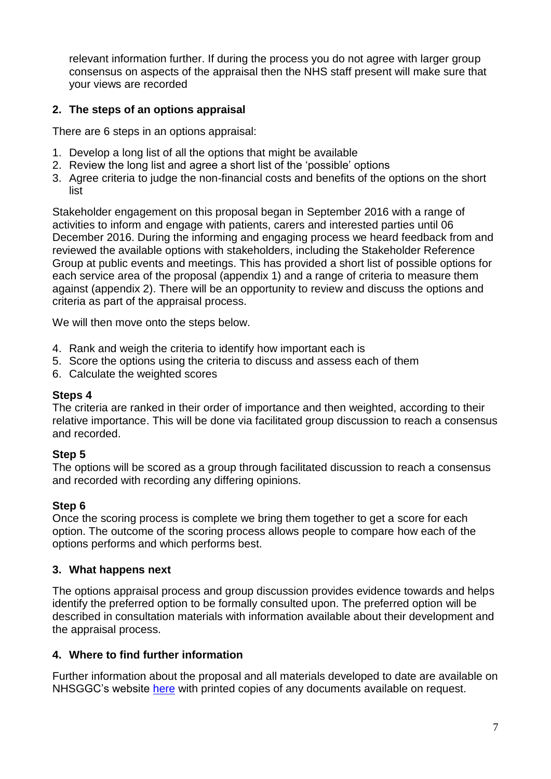relevant information further. If during the process you do not agree with larger group consensus on aspects of the appraisal then the NHS staff present will make sure that your views are recorded

## **2. The steps of an options appraisal**

There are 6 steps in an options appraisal:

- 1. Develop a long list of all the options that might be available
- 2. Review the long list and agree a short list of the 'possible' options
- 3. Agree criteria to judge the non-financial costs and benefits of the options on the short list

Stakeholder engagement on this proposal began in September 2016 with a range of activities to inform and engage with patients, carers and interested parties until 06 December 2016. During the informing and engaging process we heard feedback from and reviewed the available options with stakeholders, including the Stakeholder Reference Group at public events and meetings. This has provided a short list of possible options for each service area of the proposal (appendix 1) and a range of criteria to measure them against (appendix 2). There will be an opportunity to review and discuss the options and criteria as part of the appraisal process.

We will then move onto the steps below.

- 4. Rank and weigh the criteria to identify how important each is
- 5. Score the options using the criteria to discuss and assess each of them
- 6. Calculate the weighted scores

#### **Steps 4**

The criteria are ranked in their order of importance and then weighted, according to their relative importance. This will be done via facilitated group discussion to reach a consensus and recorded.

#### **Step 5**

The options will be scored as a group through facilitated discussion to reach a consensus and recorded with recording any differing opinions.

#### **Step 6**

Once the scoring process is complete we bring them together to get a score for each option. The outcome of the scoring process allows people to compare how each of the options performs and which performs best.

#### **3. What happens next**

The options appraisal process and group discussion provides evidence towards and helps identify the preferred option to be formally consulted upon. The preferred option will be described in consultation materials with information available about their development and the appraisal process.

#### **4. Where to find further information**

Further information about the proposal and all materials developed to date are available on NHSGGC's website [here](http://www.nhsggc.org.uk/get-in-touch-get-involved/inform-engage-and-consult/changes-to-rehabilitation-services-in-north-east-glasgow-lightburn-hospital/) with printed copies of any documents available on request.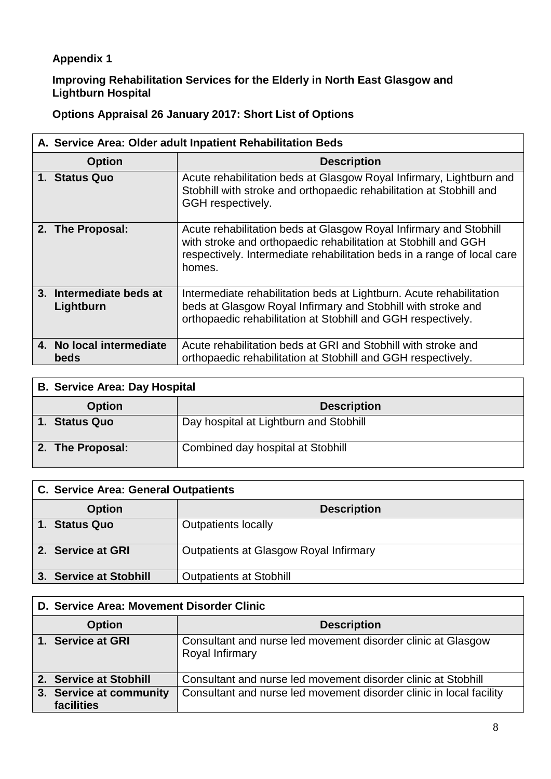# **Appendix 1**

#### **Improving Rehabilitation Services for the Elderly in North East Glasgow and Lightburn Hospital**

# **Options Appraisal 26 January 2017: Short List of Options**

| A. Service Area: Older adult Inpatient Rehabilitation Beds |                                                                                                                                                                                                                          |  |  |  |
|------------------------------------------------------------|--------------------------------------------------------------------------------------------------------------------------------------------------------------------------------------------------------------------------|--|--|--|
| <b>Option</b>                                              | <b>Description</b>                                                                                                                                                                                                       |  |  |  |
| 1. Status Quo                                              | Acute rehabilitation beds at Glasgow Royal Infirmary, Lightburn and<br>Stobhill with stroke and orthopaedic rehabilitation at Stobhill and<br>GGH respectively.                                                          |  |  |  |
| 2. The Proposal:                                           | Acute rehabilitation beds at Glasgow Royal Infirmary and Stobhill<br>with stroke and orthopaedic rehabilitation at Stobhill and GGH<br>respectively. Intermediate rehabilitation beds in a range of local care<br>homes. |  |  |  |
| 3. Intermediate beds at<br>Lightburn                       | Intermediate rehabilitation beds at Lightburn. Acute rehabilitation<br>beds at Glasgow Royal Infirmary and Stobhill with stroke and<br>orthopaedic rehabilitation at Stobhill and GGH respectively.                      |  |  |  |
| 4. No local intermediate<br>beds                           | Acute rehabilitation beds at GRI and Stobhill with stroke and<br>orthopaedic rehabilitation at Stobhill and GGH respectively.                                                                                            |  |  |  |

| <b>B. Service Area: Day Hospital</b> |                                        |  |  |  |  |
|--------------------------------------|----------------------------------------|--|--|--|--|
| <b>Option</b>                        | <b>Description</b>                     |  |  |  |  |
| 1. Status Quo                        | Day hospital at Lightburn and Stobhill |  |  |  |  |
| 2. The Proposal:                     | Combined day hospital at Stobhill      |  |  |  |  |

| <b>C. Service Area: General Outpatients</b> |                                        |  |  |  |  |
|---------------------------------------------|----------------------------------------|--|--|--|--|
| <b>Option</b>                               | <b>Description</b>                     |  |  |  |  |
| 1. Status Quo                               | <b>Outpatients locally</b>             |  |  |  |  |
| 2. Service at GRI                           | Outpatients at Glasgow Royal Infirmary |  |  |  |  |
| 3. Service at Stobhill                      | <b>Outpatients at Stobhill</b>         |  |  |  |  |

| D. Service Area: Movement Disorder Clinic |                                                                                 |  |  |  |  |
|-------------------------------------------|---------------------------------------------------------------------------------|--|--|--|--|
| <b>Option</b>                             | <b>Description</b>                                                              |  |  |  |  |
| 1. Service at GRI                         | Consultant and nurse led movement disorder clinic at Glasgow<br>Royal Infirmary |  |  |  |  |
| 2. Service at Stobhill                    | Consultant and nurse led movement disorder clinic at Stobhill                   |  |  |  |  |
| 3. Service at community                   | Consultant and nurse led movement disorder clinic in local facility             |  |  |  |  |
| facilities                                |                                                                                 |  |  |  |  |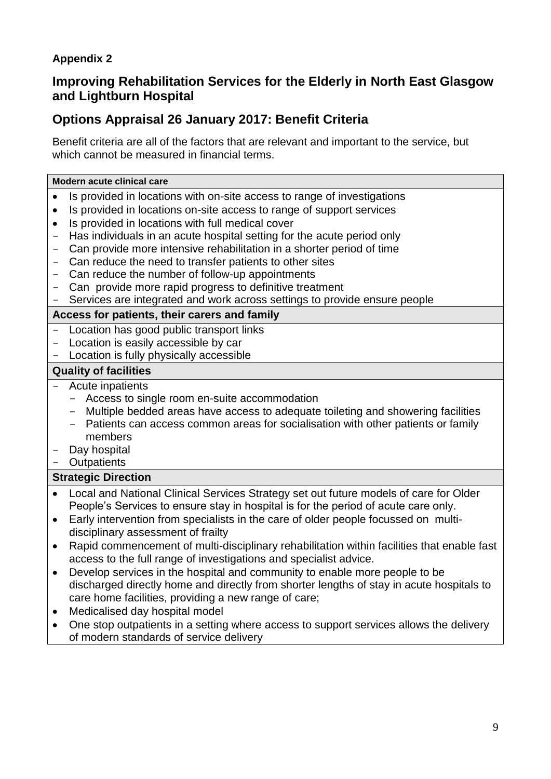## **Appendix 2**

# **Improving Rehabilitation Services for the Elderly in North East Glasgow and Lightburn Hospital**

# **Options Appraisal 26 January 2017: Benefit Criteria**

Benefit criteria are all of the factors that are relevant and important to the service, but which cannot be measured in financial terms.

#### **Modern acute clinical care**

- Is provided in locations with on-site access to range of investigations
- Is provided in locations on-site access to range of support services
- Is provided in locations with full medical cover
- Has individuals in an acute hospital setting for the acute period only
- Can provide more intensive rehabilitation in a shorter period of time
- Can reduce the need to transfer patients to other sites
- Can reduce the number of follow-up appointments
- Can provide more rapid progress to definitive treatment
- Services are integrated and work across settings to provide ensure people

#### **Access for patients, their carers and family**

- Location has good public transport links
- Location is easily accessible by car
- Location is fully physically accessible

#### **Quality of facilities**

- Acute inpatients
	- Access to single room en-suite accommodation
	- Multiple bedded areas have access to adequate toileting and showering facilities
	- Patients can access common areas for socialisation with other patients or family members
- Day hospital
- Outpatients

### **Strategic Direction**

- Local and National Clinical Services Strategy set out future models of care for Older People's Services to ensure stay in hospital is for the period of acute care only.
- Early intervention from specialists in the care of older people focussed on multidisciplinary assessment of frailty
- Rapid commencement of multi-disciplinary rehabilitation within facilities that enable fast access to the full range of investigations and specialist advice.
- Develop services in the hospital and community to enable more people to be discharged directly home and directly from shorter lengths of stay in acute hospitals to care home facilities, providing a new range of care;
- Medicalised day hospital model
- One stop outpatients in a setting where access to support services allows the delivery of modern standards of service delivery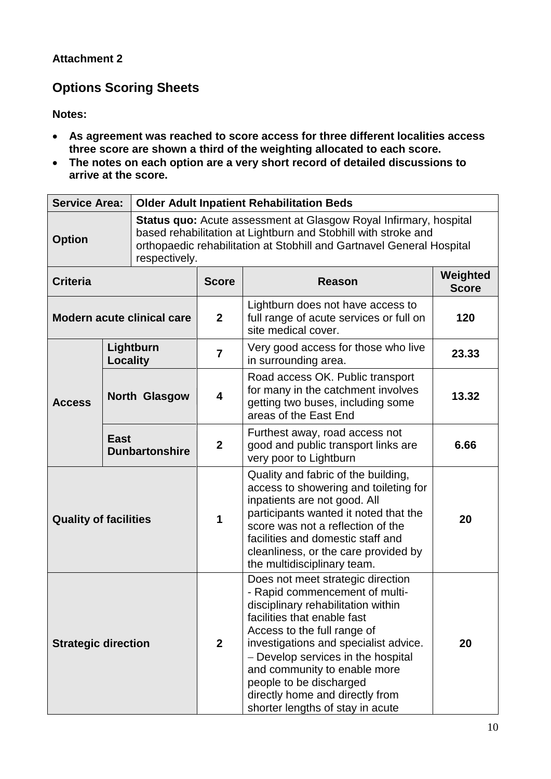## **Attachment 2**

# **Options Scoring Sheets**

**Notes:**

- **As agreement was reached to score access for three different localities access three score are shown a third of the weighting allocated to each score.**
- **The notes on each option are a very short record of detailed discussions to arrive at the score.**

| <b>Service Area:</b>           |                 | <b>Older Adult Inpatient Rehabilitation Beds</b>                                                                                                                                                                    |                                                                                                                                                                                                                                                                                                                                                                                          |                                                                                                                                      |                          |
|--------------------------------|-----------------|---------------------------------------------------------------------------------------------------------------------------------------------------------------------------------------------------------------------|------------------------------------------------------------------------------------------------------------------------------------------------------------------------------------------------------------------------------------------------------------------------------------------------------------------------------------------------------------------------------------------|--------------------------------------------------------------------------------------------------------------------------------------|--------------------------|
| <b>Option</b><br>respectively. |                 | <b>Status quo:</b> Acute assessment at Glasgow Royal Infirmary, hospital<br>based rehabilitation at Lightburn and Stobhill with stroke and<br>orthopaedic rehabilitation at Stobhill and Gartnavel General Hospital |                                                                                                                                                                                                                                                                                                                                                                                          |                                                                                                                                      |                          |
| <b>Criteria</b>                |                 |                                                                                                                                                                                                                     | <b>Score</b>                                                                                                                                                                                                                                                                                                                                                                             | <b>Reason</b>                                                                                                                        | Weighted<br><b>Score</b> |
|                                |                 | <b>Modern acute clinical care</b>                                                                                                                                                                                   | $\mathbf{2}$                                                                                                                                                                                                                                                                                                                                                                             | Lightburn does not have access to<br>full range of acute services or full on<br>site medical cover.                                  | 120                      |
|                                | <b>Locality</b> | Lightburn                                                                                                                                                                                                           | $\overline{7}$                                                                                                                                                                                                                                                                                                                                                                           | Very good access for those who live<br>in surrounding area.                                                                          | 23.33                    |
| <b>Access</b>                  |                 | <b>North Glasgow</b>                                                                                                                                                                                                | 4                                                                                                                                                                                                                                                                                                                                                                                        | Road access OK. Public transport<br>for many in the catchment involves<br>getting two buses, including some<br>areas of the East End | 13.32                    |
|                                | <b>East</b>     | <b>Dunbartonshire</b>                                                                                                                                                                                               | $\mathbf{2}$                                                                                                                                                                                                                                                                                                                                                                             | Furthest away, road access not<br>good and public transport links are<br>very poor to Lightburn                                      | 6.66                     |
| <b>Quality of facilities</b>   |                 | 1                                                                                                                                                                                                                   | Quality and fabric of the building,<br>access to showering and toileting for<br>inpatients are not good. All<br>participants wanted it noted that the<br>score was not a reflection of the<br>facilities and domestic staff and<br>cleanliness, or the care provided by<br>the multidisciplinary team.                                                                                   | 20                                                                                                                                   |                          |
| <b>Strategic direction</b>     |                 | $\overline{2}$                                                                                                                                                                                                      | Does not meet strategic direction<br>- Rapid commencement of multi-<br>disciplinary rehabilitation within<br>facilities that enable fast<br>Access to the full range of<br>investigations and specialist advice.<br>- Develop services in the hospital<br>and community to enable more<br>people to be discharged<br>directly home and directly from<br>shorter lengths of stay in acute | 20                                                                                                                                   |                          |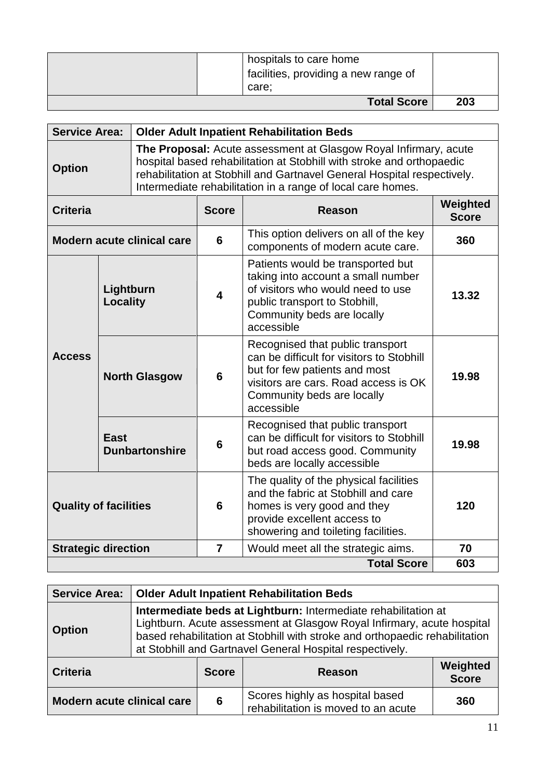| hospitals to care home<br>facilities, providing a new range of<br>care: |     |
|-------------------------------------------------------------------------|-----|
| <b>Total Score</b>                                                      | 203 |

|               | Service Area:   Older Adult Inpatient Rehabilitation Beds                                                                                                                                                                                                                           |  |  |  |
|---------------|-------------------------------------------------------------------------------------------------------------------------------------------------------------------------------------------------------------------------------------------------------------------------------------|--|--|--|
| <b>Option</b> | The Proposal: Acute assessment at Glasgow Royal Infirmary, acute<br>hospital based rehabilitation at Stobhill with stroke and orthopaedic<br>rehabilitation at Stobhill and Gartnavel General Hospital respectively.<br>Intermediate rehabilitation in a range of local care homes. |  |  |  |
|               |                                                                                                                                                                                                                                                                                     |  |  |  |

| <b>Criteria</b>              |                               | <b>Score</b>   | Reason                                                                                                                                                                                             | Weighted<br><b>Score</b> |
|------------------------------|-------------------------------|----------------|----------------------------------------------------------------------------------------------------------------------------------------------------------------------------------------------------|--------------------------|
|                              | Modern acute clinical care    | 6              | This option delivers on all of the key<br>components of modern acute care.                                                                                                                         | 360                      |
| <b>Access</b>                | Lightburn<br>Locality         | 4              | Patients would be transported but<br>taking into account a small number<br>of visitors who would need to use<br>public transport to Stobhill,<br>Community beds are locally<br>accessible          | 13.32                    |
|                              | <b>North Glasgow</b>          | 6              | Recognised that public transport<br>can be difficult for visitors to Stobhill<br>but for few patients and most<br>visitors are cars. Road access is OK<br>Community beds are locally<br>accessible | 19.98                    |
|                              | East<br><b>Dunbartonshire</b> | 6              | Recognised that public transport<br>can be difficult for visitors to Stobhill<br>but road access good. Community<br>beds are locally accessible                                                    | 19.98                    |
| <b>Quality of facilities</b> |                               | 6              | The quality of the physical facilities<br>and the fabric at Stobhill and care<br>homes is very good and they<br>provide excellent access to<br>showering and toileting facilities.                 | 120                      |
| <b>Strategic direction</b>   |                               | $\overline{7}$ | Would meet all the strategic aims.                                                                                                                                                                 | 70                       |
|                              |                               |                | <b>Total Score</b>                                                                                                                                                                                 | 603                      |

| <b>Service Area:</b>              | <b>Older Adult Inpatient Rehabilitation Beds</b>                                                                                                                                                                                                                                    |              |                                                                        |                          |
|-----------------------------------|-------------------------------------------------------------------------------------------------------------------------------------------------------------------------------------------------------------------------------------------------------------------------------------|--------------|------------------------------------------------------------------------|--------------------------|
| <b>Option</b>                     | Intermediate beds at Lightburn: Intermediate rehabilitation at<br>Lightburn. Acute assessment at Glasgow Royal Infirmary, acute hospital<br>based rehabilitation at Stobhill with stroke and orthopaedic rehabilitation<br>at Stobhill and Gartnavel General Hospital respectively. |              |                                                                        |                          |
| <b>Criteria</b>                   |                                                                                                                                                                                                                                                                                     | <b>Score</b> | Reason                                                                 | Weighted<br><b>Score</b> |
| <b>Modern acute clinical care</b> |                                                                                                                                                                                                                                                                                     | 6            | Scores highly as hospital based<br>rehabilitation is moved to an acute | 360                      |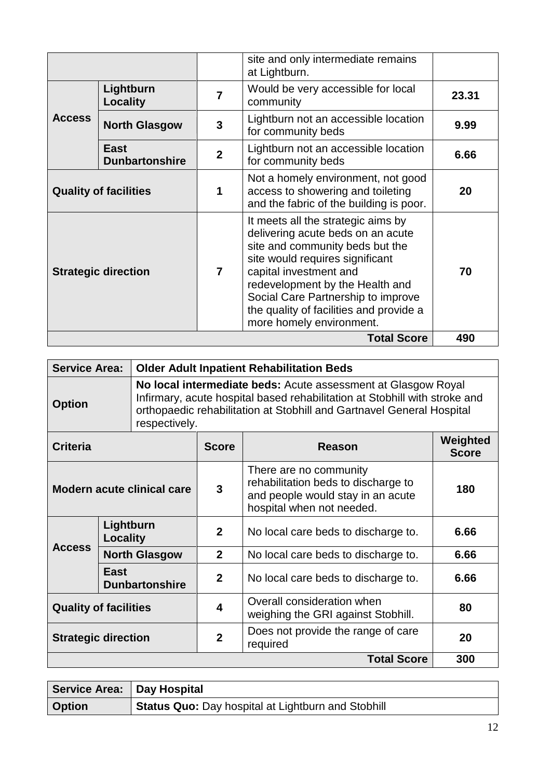|                              |                                      |                | site and only intermediate remains<br>at Lightburn.                                                                                                                                                                                                                                                                     |       |
|------------------------------|--------------------------------------|----------------|-------------------------------------------------------------------------------------------------------------------------------------------------------------------------------------------------------------------------------------------------------------------------------------------------------------------------|-------|
|                              | Lightburn<br>Locality                | $\overline{7}$ | Would be very accessible for local<br>community                                                                                                                                                                                                                                                                         | 23.31 |
| <b>Access</b>                | <b>North Glasgow</b>                 | 3              | Lightburn not an accessible location<br>for community beds                                                                                                                                                                                                                                                              | 9.99  |
|                              | <b>East</b><br><b>Dunbartonshire</b> | $\mathbf{2}$   | Lightburn not an accessible location<br>for community beds                                                                                                                                                                                                                                                              | 6.66  |
| <b>Quality of facilities</b> |                                      | 1              | Not a homely environment, not good<br>access to showering and toileting<br>and the fabric of the building is poor.                                                                                                                                                                                                      | 20    |
| <b>Strategic direction</b>   |                                      | $\overline{7}$ | It meets all the strategic aims by<br>delivering acute beds on an acute<br>site and community beds but the<br>site would requires significant<br>capital investment and<br>redevelopment by the Health and<br>Social Care Partnership to improve<br>the quality of facilities and provide a<br>more homely environment. | 70    |
|                              |                                      |                | <b>Total Score</b>                                                                                                                                                                                                                                                                                                      | 490   |

| <b>Service Area:</b>         |                       | <b>Older Adult Inpatient Rehabilitation Beds</b> |                                                                                                                                                                                                                      |                                     |                          |  |
|------------------------------|-----------------------|--------------------------------------------------|----------------------------------------------------------------------------------------------------------------------------------------------------------------------------------------------------------------------|-------------------------------------|--------------------------|--|
| <b>Option</b>                |                       | respectively.                                    | No local intermediate beds: Acute assessment at Glasgow Royal<br>Infirmary, acute hospital based rehabilitation at Stobhill with stroke and<br>orthopaedic rehabilitation at Stobhill and Gartnavel General Hospital |                                     |                          |  |
| <b>Criteria</b>              |                       |                                                  | <b>Score</b>                                                                                                                                                                                                         | Reason                              | Weighted<br><b>Score</b> |  |
| Modern acute clinical care   |                       | 3                                                | There are no community<br>rehabilitation beds to discharge to<br>and people would stay in an acute<br>hospital when not needed.                                                                                      | 180                                 |                          |  |
|                              | Lightburn<br>Locality |                                                  | $\mathbf{2}$                                                                                                                                                                                                         | No local care beds to discharge to. | 6.66                     |  |
| <b>Access</b>                |                       | <b>North Glasgow</b>                             | $\mathbf{2}$                                                                                                                                                                                                         | No local care beds to discharge to. | 6.66                     |  |
|                              | East                  | <b>Dunbartonshire</b>                            | $\mathbf{2}$                                                                                                                                                                                                         | No local care beds to discharge to. | 6.66                     |  |
| <b>Quality of facilities</b> |                       | $\overline{\mathbf{4}}$                          | Overall consideration when<br>weighing the GRI against Stobhill.                                                                                                                                                     | 80                                  |                          |  |
| <b>Strategic direction</b>   |                       | $\mathbf{2}$                                     | Does not provide the range of care<br>required                                                                                                                                                                       | 20                                  |                          |  |
| <b>Total Score</b>           |                       |                                                  |                                                                                                                                                                                                                      |                                     | 300                      |  |

| Service Area:   Day Hospital |                                                    |
|------------------------------|----------------------------------------------------|
| <b>Option</b>                | Status Quo: Day hospital at Lightburn and Stobhill |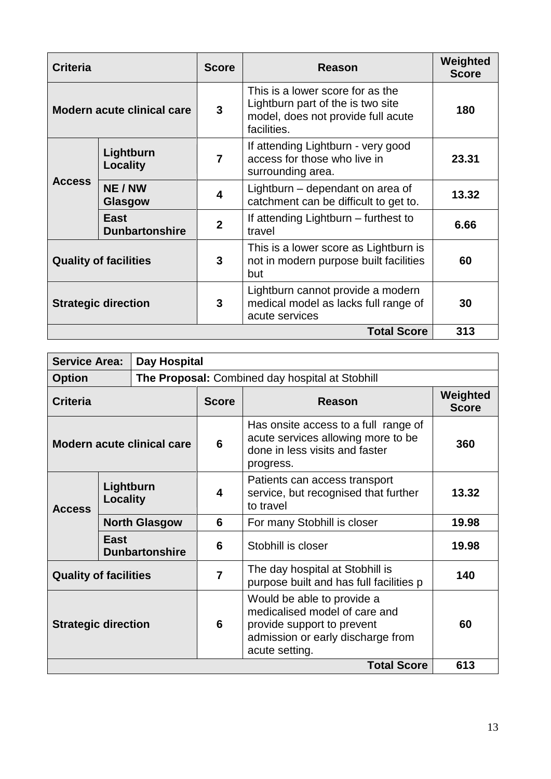| <b>Criteria</b>              |                                      | <b>Score</b>   | <b>Reason</b>                                                                                                              | Weighted<br><b>Score</b> |
|------------------------------|--------------------------------------|----------------|----------------------------------------------------------------------------------------------------------------------------|--------------------------|
| Modern acute clinical care   |                                      | 3              | This is a lower score for as the<br>Lightburn part of the is two site<br>model, does not provide full acute<br>facilities. | 180                      |
|                              | Lightburn<br>Locality                | $\overline{7}$ | If attending Lightburn - very good<br>access for those who live in<br>surrounding area.                                    | 23.31                    |
| <b>Access</b>                | NE / NW<br>Glasgow                   | 4              | Lightburn - dependant on area of<br>catchment can be difficult to get to.                                                  | 13.32                    |
|                              | <b>East</b><br><b>Dunbartonshire</b> | $\overline{2}$ | If attending Lightburn – furthest to<br>travel                                                                             | 6.66                     |
| <b>Quality of facilities</b> |                                      | 3              | This is a lower score as Lightburn is<br>not in modern purpose built facilities<br>but                                     | 60                       |
| <b>Strategic direction</b>   |                                      | 3              | Lightburn cannot provide a modern<br>medical model as lacks full range of<br>acute services                                | 30                       |
|                              |                                      |                | <b>Total Score</b>                                                                                                         | 313                      |

| <b>Service Area:</b>              |                               | <b>Day Hospital</b>                             |                                                                                                                                                  |                                                                                    |                          |  |
|-----------------------------------|-------------------------------|-------------------------------------------------|--------------------------------------------------------------------------------------------------------------------------------------------------|------------------------------------------------------------------------------------|--------------------------|--|
| <b>Option</b>                     |                               | The Proposal: Combined day hospital at Stobhill |                                                                                                                                                  |                                                                                    |                          |  |
| <b>Criteria</b>                   |                               |                                                 | <b>Score</b>                                                                                                                                     | Reason                                                                             | Weighted<br><b>Score</b> |  |
| <b>Modern acute clinical care</b> |                               | 6                                               | Has onsite access to a full range of<br>acute services allowing more to be<br>done in less visits and faster<br>progress.                        | 360                                                                                |                          |  |
| <b>Access</b>                     | Lightburn<br>Locality         |                                                 | 4                                                                                                                                                | Patients can access transport<br>service, but recognised that further<br>to travel | 13.32                    |  |
|                                   | <b>North Glasgow</b>          |                                                 | 6                                                                                                                                                | For many Stobhill is closer                                                        | 19.98                    |  |
|                                   | East<br><b>Dunbartonshire</b> |                                                 | 6                                                                                                                                                | Stobhill is closer                                                                 | 19.98                    |  |
| <b>Quality of facilities</b>      |                               | $\overline{7}$                                  | The day hospital at Stobhill is<br>purpose built and has full facilities p                                                                       | 140                                                                                |                          |  |
| <b>Strategic direction</b>        |                               | 6                                               | Would be able to provide a<br>medicalised model of care and<br>provide support to prevent<br>admission or early discharge from<br>acute setting. | 60                                                                                 |                          |  |
| <b>Total Score</b>                |                               |                                                 |                                                                                                                                                  |                                                                                    | 613                      |  |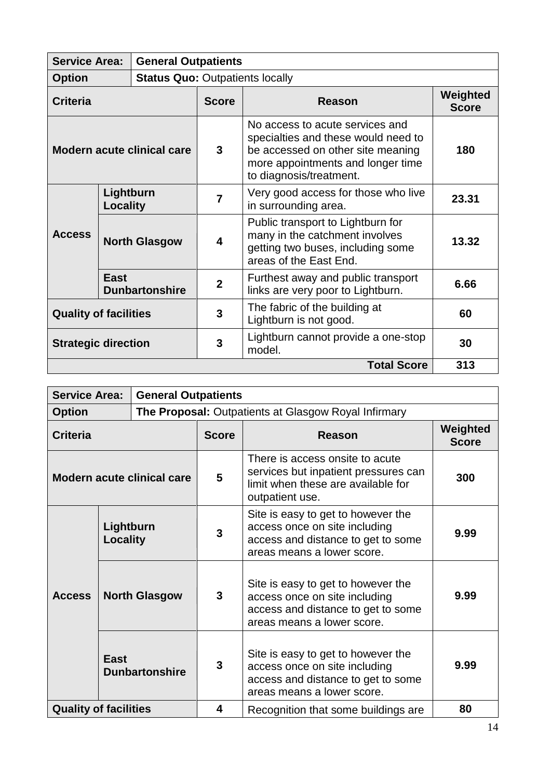| <b>Service Area:</b><br><b>General Outpatients</b> |             |                                        |                                                         |                                                                                                                                                                             |                          |  |
|----------------------------------------------------|-------------|----------------------------------------|---------------------------------------------------------|-----------------------------------------------------------------------------------------------------------------------------------------------------------------------------|--------------------------|--|
| <b>Option</b>                                      |             | <b>Status Quo: Outpatients locally</b> |                                                         |                                                                                                                                                                             |                          |  |
| <b>Criteria</b>                                    |             |                                        | <b>Score</b>                                            | <b>Reason</b>                                                                                                                                                               | Weighted<br><b>Score</b> |  |
| <b>Modern acute clinical care</b>                  |             |                                        | $\mathbf{3}$                                            | No access to acute services and<br>specialties and these would need to<br>be accessed on other site meaning<br>more appointments and longer time<br>to diagnosis/treatment. | 180                      |  |
|                                                    |             | Lightburn<br>Locality                  |                                                         | Very good access for those who live<br>in surrounding area.                                                                                                                 | 23.31                    |  |
| <b>Access</b>                                      |             | <b>North Glasgow</b>                   | $\overline{\mathbf{4}}$                                 | Public transport to Lightburn for<br>many in the catchment involves<br>getting two buses, including some<br>areas of the East End.                                          | 13.32                    |  |
|                                                    | <b>East</b> | <b>Dunbartonshire</b>                  | $\mathbf{2}$                                            | Furthest away and public transport<br>links are very poor to Lightburn.                                                                                                     | 6.66                     |  |
| <b>Quality of facilities</b>                       |             | 3                                      | The fabric of the building at<br>Lightburn is not good. | 60                                                                                                                                                                          |                          |  |
| <b>Strategic direction</b>                         |             | 3                                      | Lightburn cannot provide a one-stop<br>model.           | 30                                                                                                                                                                          |                          |  |
|                                                    |             |                                        |                                                         | <b>Total Score</b>                                                                                                                                                          | 313                      |  |

| <b>Service Area:</b>              |                                                                                       | <b>General Outpatients</b>                           |                                                                                                                                  |                                                                                                                                         |                          |  |
|-----------------------------------|---------------------------------------------------------------------------------------|------------------------------------------------------|----------------------------------------------------------------------------------------------------------------------------------|-----------------------------------------------------------------------------------------------------------------------------------------|--------------------------|--|
| <b>Option</b>                     |                                                                                       | The Proposal: Outpatients at Glasgow Royal Infirmary |                                                                                                                                  |                                                                                                                                         |                          |  |
| <b>Criteria</b>                   |                                                                                       |                                                      | <b>Score</b>                                                                                                                     | Reason                                                                                                                                  | Weighted<br><b>Score</b> |  |
| <b>Modern acute clinical care</b> |                                                                                       | 5                                                    | There is access onsite to acute<br>services but inpatient pressures can<br>limit when these are available for<br>outpatient use. | 300                                                                                                                                     |                          |  |
|                                   | Lightburn<br>Locality<br><b>North Glasgow</b><br><b>East</b><br><b>Dunbartonshire</b> |                                                      | 3                                                                                                                                | Site is easy to get to however the<br>access once on site including<br>access and distance to get to some<br>areas means a lower score. | 9.99                     |  |
| <b>Access</b>                     |                                                                                       |                                                      | $\mathbf{3}$                                                                                                                     | Site is easy to get to however the<br>access once on site including<br>access and distance to get to some<br>areas means a lower score. | 9.99                     |  |
|                                   |                                                                                       |                                                      | $\mathbf{3}$                                                                                                                     | Site is easy to get to however the<br>access once on site including<br>access and distance to get to some<br>areas means a lower score. | 9.99                     |  |
| <b>Quality of facilities</b>      |                                                                                       |                                                      | 4                                                                                                                                | Recognition that some buildings are                                                                                                     | 80                       |  |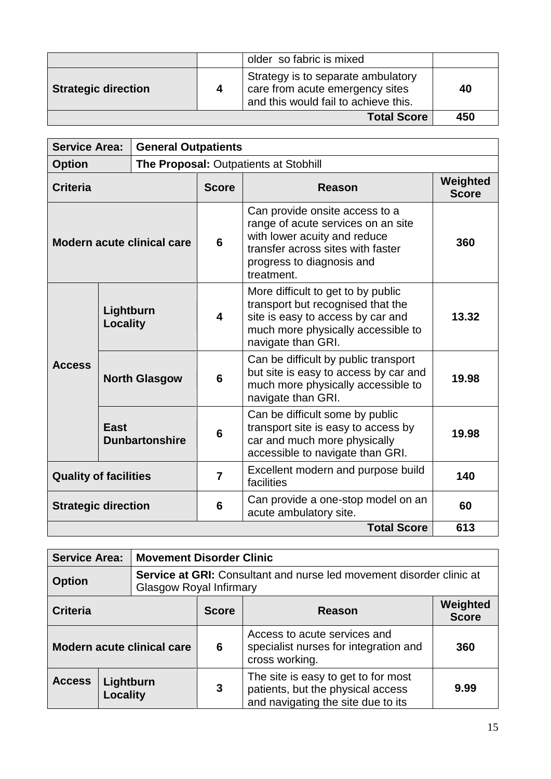|                            |   | older so fabric is mixed                                                                                      |     |
|----------------------------|---|---------------------------------------------------------------------------------------------------------------|-----|
| <b>Strategic direction</b> | 4 | Strategy is to separate ambulatory<br>care from acute emergency sites<br>and this would fail to achieve this. | 40  |
| <b>Total Score</b>         |   |                                                                                                               | 450 |

| <b>Service Area:</b><br><b>General Outpatients</b> |                      |                                       |                                                                                                                                                                                      |                                                                                                                                                                          |                          |
|----------------------------------------------------|----------------------|---------------------------------------|--------------------------------------------------------------------------------------------------------------------------------------------------------------------------------------|--------------------------------------------------------------------------------------------------------------------------------------------------------------------------|--------------------------|
| <b>Option</b>                                      |                      | The Proposal: Outpatients at Stobhill |                                                                                                                                                                                      |                                                                                                                                                                          |                          |
| <b>Criteria</b>                                    |                      |                                       | <b>Score</b>                                                                                                                                                                         | <b>Reason</b>                                                                                                                                                            | Weighted<br><b>Score</b> |
| Modern acute clinical care                         |                      | 6                                     | Can provide onsite access to a<br>range of acute services on an site<br>with lower acuity and reduce<br>transfer across sites with faster<br>progress to diagnosis and<br>treatment. | 360                                                                                                                                                                      |                          |
| <b>Access</b>                                      |                      | Lightburn<br>Locality                 |                                                                                                                                                                                      | More difficult to get to by public<br>transport but recognised that the<br>site is easy to access by car and<br>much more physically accessible to<br>navigate than GRI. | 13.32                    |
|                                                    | <b>North Glasgow</b> |                                       | 6                                                                                                                                                                                    | Can be difficult by public transport<br>but site is easy to access by car and<br>much more physically accessible to<br>navigate than GRI.                                | 19.98                    |
|                                                    | <b>East</b>          | <b>Dunbartonshire</b>                 | $6\phantom{1}$                                                                                                                                                                       | Can be difficult some by public<br>transport site is easy to access by<br>car and much more physically<br>accessible to navigate than GRI.                               | 19.98                    |
| <b>Quality of facilities</b>                       |                      | $\overline{7}$                        | Excellent modern and purpose build<br>facilities                                                                                                                                     | 140                                                                                                                                                                      |                          |
| <b>Strategic direction</b>                         |                      |                                       | 6                                                                                                                                                                                    | Can provide a one-stop model on an<br>acute ambulatory site.                                                                                                             | 60                       |
| <b>Total Score</b>                                 |                      |                                       |                                                                                                                                                                                      |                                                                                                                                                                          | 613                      |

| <b>Service Area:</b>              |                       |                                                                                                        | <b>Movement Disorder Clinic</b>                                                         |                                                                                                                |                          |  |  |
|-----------------------------------|-----------------------|--------------------------------------------------------------------------------------------------------|-----------------------------------------------------------------------------------------|----------------------------------------------------------------------------------------------------------------|--------------------------|--|--|
| <b>Option</b>                     |                       | <b>Service at GRI:</b> Consultant and nurse led movement disorder clinic at<br>Glasgow Royal Infirmary |                                                                                         |                                                                                                                |                          |  |  |
| <b>Criteria</b>                   |                       |                                                                                                        | <b>Score</b>                                                                            | Reason                                                                                                         | Weighted<br><b>Score</b> |  |  |
| <b>Modern acute clinical care</b> |                       | 6                                                                                                      | Access to acute services and<br>specialist nurses for integration and<br>cross working. | 360                                                                                                            |                          |  |  |
| <b>Access</b>                     | Lightburn<br>Locality |                                                                                                        | 3                                                                                       | The site is easy to get to for most<br>patients, but the physical access<br>and navigating the site due to its | 9.99                     |  |  |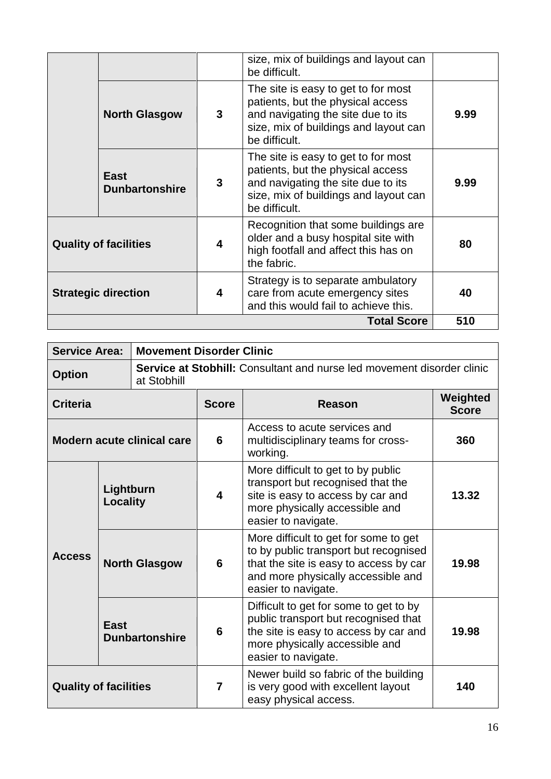| <b>Total Score</b>           |                               |   |                                                                                                                                                                          | 510  |
|------------------------------|-------------------------------|---|--------------------------------------------------------------------------------------------------------------------------------------------------------------------------|------|
| <b>Strategic direction</b>   |                               | 4 | Strategy is to separate ambulatory<br>care from acute emergency sites<br>and this would fail to achieve this.                                                            | 40   |
| <b>Quality of facilities</b> |                               | 4 | Recognition that some buildings are<br>older and a busy hospital site with<br>high footfall and affect this has on<br>the fabric.                                        | 80   |
|                              | East<br><b>Dunbartonshire</b> | 3 | The site is easy to get to for most<br>patients, but the physical access<br>and navigating the site due to its<br>size, mix of buildings and layout can<br>be difficult. | 9.99 |
|                              | <b>North Glasgow</b>          | 3 | The site is easy to get to for most<br>patients, but the physical access<br>and navigating the site due to its<br>size, mix of buildings and layout can<br>be difficult. | 9.99 |
|                              |                               |   | size, mix of buildings and layout can<br>be difficult.                                                                                                                   |      |

| <b>Service Area:</b>         |                       | <b>Movement Disorder Clinic</b>                                                       |                                                                                                      |                                                                                                                                                                                       |                          |  |
|------------------------------|-----------------------|---------------------------------------------------------------------------------------|------------------------------------------------------------------------------------------------------|---------------------------------------------------------------------------------------------------------------------------------------------------------------------------------------|--------------------------|--|
| <b>Option</b>                |                       | Service at Stobhill: Consultant and nurse led movement disorder clinic<br>at Stobhill |                                                                                                      |                                                                                                                                                                                       |                          |  |
| <b>Criteria</b>              |                       |                                                                                       | <b>Score</b>                                                                                         | <b>Reason</b>                                                                                                                                                                         | Weighted<br><b>Score</b> |  |
| Modern acute clinical care   |                       | 6                                                                                     | Access to acute services and<br>multidisciplinary teams for cross-<br>working.                       | 360                                                                                                                                                                                   |                          |  |
| <b>Access</b>                | Lightburn<br>Locality |                                                                                       | $\overline{\mathbf{4}}$                                                                              | More difficult to get to by public<br>transport but recognised that the<br>site is easy to access by car and<br>more physically accessible and<br>easier to navigate.                 | 13.32                    |  |
|                              |                       | <b>North Glasgow</b>                                                                  | 6                                                                                                    | More difficult to get for some to get<br>to by public transport but recognised<br>that the site is easy to access by car<br>and more physically accessible and<br>easier to navigate. | 19.98                    |  |
|                              | <b>East</b>           | <b>Dunbartonshire</b>                                                                 |                                                                                                      | Difficult to get for some to get to by<br>public transport but recognised that<br>the site is easy to access by car and<br>more physically accessible and<br>easier to navigate.      | 19.98                    |  |
| <b>Quality of facilities</b> |                       | $\overline{7}$                                                                        | Newer build so fabric of the building<br>is very good with excellent layout<br>easy physical access. | 140                                                                                                                                                                                   |                          |  |